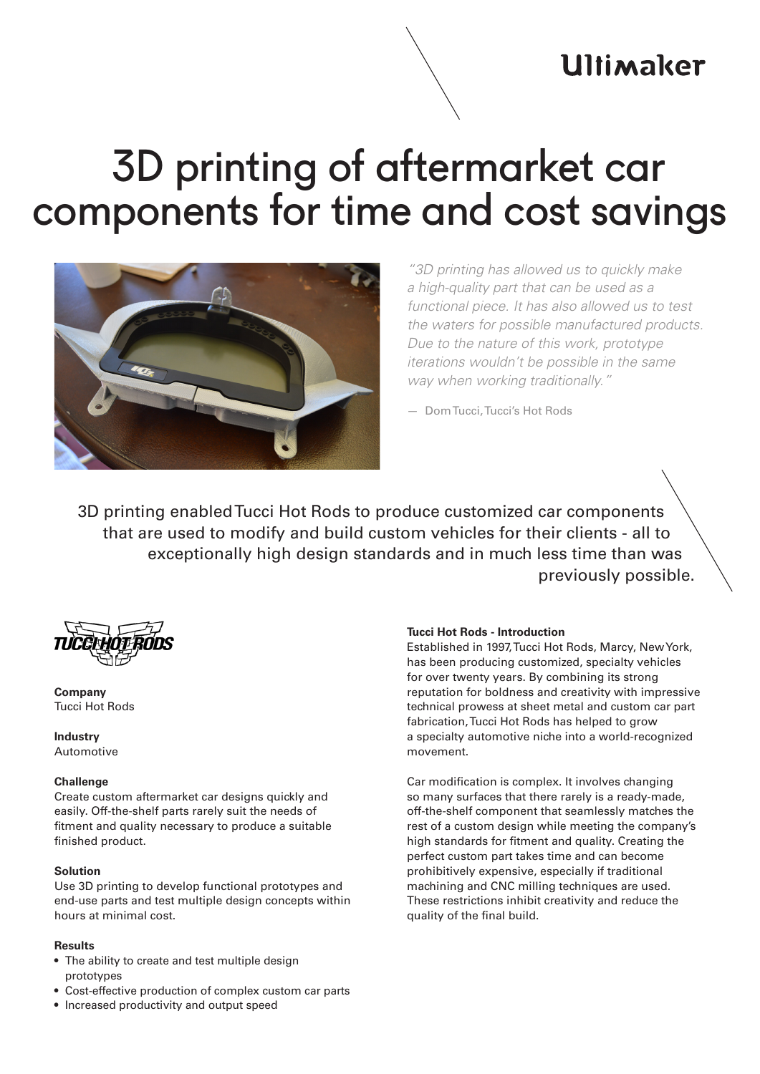# **Ultimaker**

# 3D printing of aftermarket car components for time and cost savings



*"3D printing has allowed us to quickly make a high-quality part that can be used as a functional piece. It has also allowed us to test the waters for possible manufactured products. Due to the nature of this work, prototype iterations wouldn't be possible in the same way when working traditionally."*

— Dom Tucci, Tucci's Hot Rods

3D printing enabled Tucci Hot Rods to produce customized car components that are used to modify and build custom vehicles for their clients - all to exceptionally high design standards and in much less time than was previously possible.



**Company** Tucci Hot Rods

**Industry** Automotive

## **Challenge**

Create custom aftermarket car designs quickly and easily. Off-the-shelf parts rarely suit the needs of fitment and quality necessary to produce a suitable finished product.

## **Solution**

Use 3D printing to develop functional prototypes and end-use parts and test multiple design concepts within hours at minimal cost.

#### **Results**

- The ability to create and test multiple design prototypes
- Cost-effective production of complex custom car parts
- Increased productivity and output speed

#### **Tucci Hot Rods - Introduction**

Established in 1997, Tucci Hot Rods, Marcy, New York, has been producing customized, specialty vehicles for over twenty years. By combining its strong reputation for boldness and creativity with impressive technical prowess at sheet metal and custom car part fabrication, Tucci Hot Rods has helped to grow a specialty automotive niche into a world-recognized movement.

Car modification is complex. It involves changing so many surfaces that there rarely is a ready-made, off-the-shelf component that seamlessly matches the rest of a custom design while meeting the company's high standards for fitment and quality. Creating the perfect custom part takes time and can become prohibitively expensive, especially if traditional machining and CNC milling techniques are used. These restrictions inhibit creativity and reduce the quality of the final build.